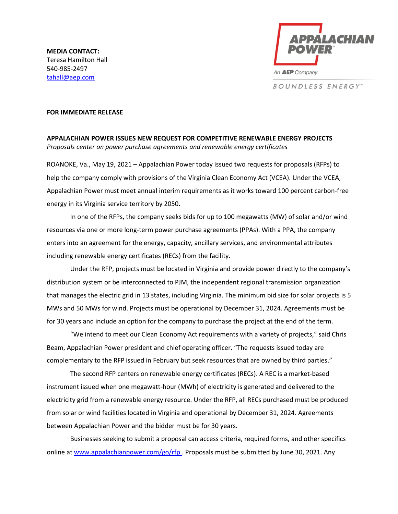

**BOUNDLESS ENERGY**\*\*

## **FOR IMMEDIATE RELEASE**

**APPALACHIAN POWER ISSUES NEW REQUEST FOR COMPETITIVE RENEWABLE ENERGY PROJECTS** *Proposals center on power purchase agreements and renewable energy certificates*

ROANOKE, Va., May 19, 2021 – Appalachian Power today issued two requests for proposals (RFPs) to help the company comply with provisions of the Virginia Clean Economy Act (VCEA). Under the VCEA, Appalachian Power must meet annual interim requirements as it works toward 100 percent carbon-free energy in its Virginia service territory by 2050.

In one of the RFPs, the company seeks bids for up to 100 megawatts (MW) of solar and/or wind resources via one or more long-term power purchase agreements (PPAs). With a PPA, the company enters into an agreement for the energy, capacity, ancillary services, and environmental attributes including renewable energy certificates (RECs) from the facility.

Under the RFP, projects must be located in Virginia and provide power directly to the company's distribution system or be interconnected to PJM, the independent regional transmission organization that manages the electric grid in 13 states, including Virginia. The minimum bid size for solar projects is 5 MWs and 50 MWs for wind. Projects must be operational by December 31, 2024. Agreements must be for 30 years and include an option for the company to purchase the project at the end of the term.

"We intend to meet our Clean Economy Act requirements with a variety of projects," said Chris Beam, Appalachian Power president and chief operating officer. "The requests issued today are complementary to the RFP issued in February but seek resources that are owned by third parties."

The second RFP centers on renewable energy certificates (RECs). A REC is a market-based instrument issued when one megawatt-hour (MWh) of electricity is generated and delivered to the electricity grid from a renewable energy resource. Under the RFP, all RECs purchased must be produced from solar or wind facilities located in Virginia and operational by December 31, 2024. Agreements between Appalachian Power and the bidder must be for 30 years.

Businesses seeking to submit a proposal can access criteria, required forms, and other specifics online at www.appalachianpower.com/go/rfp. Proposals must be submitted by June 30, 2021. Any